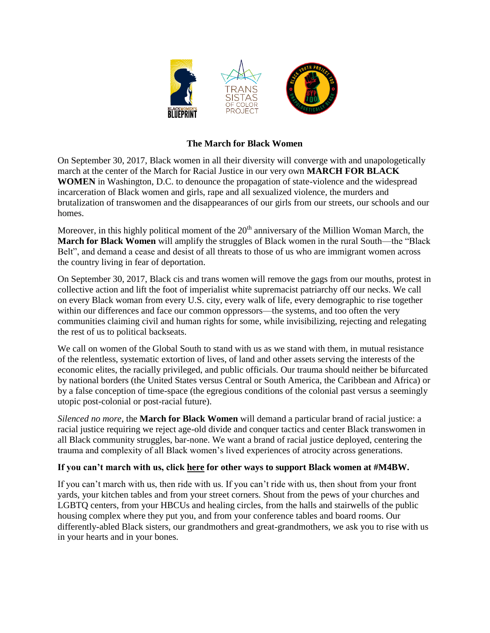

## **The March for Black Women**

On September 30, 2017, Black women in all their diversity will converge with and unapologetically march at the center of the March for Racial Justice in our very own **MARCH FOR BLACK WOMEN** in Washington, D.C. to denounce the propagation of state-violence and the widespread incarceration of Black women and girls, rape and all sexualized violence, the murders and brutalization of transwomen and the disappearances of our girls from our streets, our schools and our homes.

Moreover, in this highly political moment of the  $20<sup>th</sup>$  anniversary of the Million Woman March, the **March for Black Women** will amplify the struggles of Black women in the rural South—the "Black Belt", and demand a cease and desist of all threats to those of us who are immigrant women across the country living in fear of deportation.

On September 30, 2017, Black cis and trans women will remove the gags from our mouths, protest in collective action and lift the foot of imperialist white supremacist patriarchy off our necks. We call on every Black woman from every U.S. city, every walk of life, every demographic to rise together within our differences and face our common oppressors—the systems, and too often the very communities claiming civil and human rights for some, while invisibilizing, rejecting and relegating the rest of us to political backseats.

We call on women of the Global South to stand with us as we stand with them, in mutual resistance of the relentless, systematic extortion of lives, of land and other assets serving the interests of the economic elites, the racially privileged, and public officials. Our trauma should neither be bifurcated by national borders (the United States versus Central or South America, the Caribbean and Africa) or by a false conception of time-space (the egregious conditions of the colonial past versus a seemingly utopic post-colonial or post-racial future).

*Silenced no more*, the **March for Black Women** will demand a particular brand of racial justice: a racial justice requiring we reject age-old divide and conquer tactics and center Black transwomen in all Black community struggles, bar-none. We want a brand of racial justice deployed, centering the trauma and complexity of all Black women's lived experiences of atrocity across generations.

## **If you can't march with us, click [here](http://www.mamablack.org/march-for-black-women) for other ways to support Black women at #M4BW.**

If you can't march with us, then ride with us. If you can't ride with us, then shout from your front yards, your kitchen tables and from your street corners. Shout from the pews of your churches and LGBTQ centers, from your HBCUs and healing circles, from the halls and stairwells of the public housing complex where they put you, and from your conference tables and board rooms. Our differently-abled Black sisters, our grandmothers and great-grandmothers, we ask you to rise with us in your hearts and in your bones.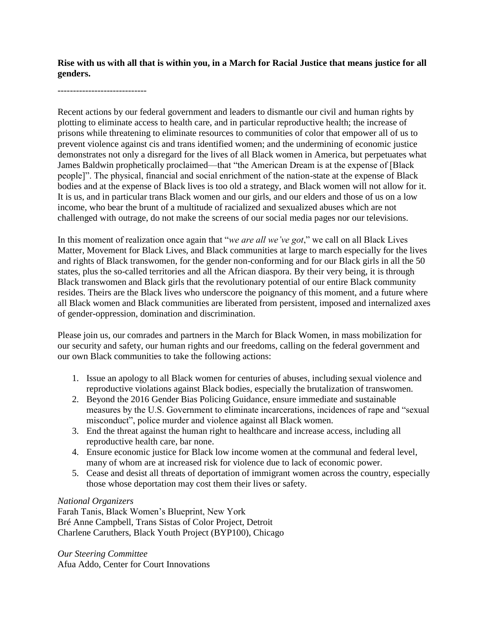**Rise with us with all that is within you, in a March for Racial Justice that means justice for all genders.**

-----------------------------

Recent actions by our federal government and leaders to dismantle our civil and human rights by plotting to eliminate access to health care, and in particular reproductive health; the increase of prisons while threatening to eliminate resources to communities of color that empower all of us to prevent violence against cis and trans identified women; and the undermining of economic justice demonstrates not only a disregard for the lives of all Black women in America, but perpetuates what James Baldwin prophetically proclaimed—that "the American Dream is at the expense of [Black people]". The physical, financial and social enrichment of the nation-state at the expense of Black bodies and at the expense of Black lives is too old a strategy, and Black women will not allow for it. It is us, and in particular trans Black women and our girls, and our elders and those of us on a low income, who bear the brunt of a multitude of racialized and sexualized abuses which are not challenged with outrage, do not make the screens of our social media pages nor our televisions.

In this moment of realization once again that "*we are all we've got*," we call on all Black Lives Matter, Movement for Black Lives, and Black communities at large to march especially for the lives and rights of Black transwomen, for the gender non-conforming and for our Black girls in all the 50 states, plus the so-called territories and all the African diaspora. By their very being, it is through Black transwomen and Black girls that the revolutionary potential of our entire Black community resides. Theirs are the Black lives who underscore the poignancy of this moment, and a future where all Black women and Black communities are liberated from persistent, imposed and internalized axes of gender-oppression, domination and discrimination.

Please join us, our comrades and partners in the March for Black Women, in mass mobilization for our security and safety, our human rights and our freedoms, calling on the federal government and our own Black communities to take the following actions:

- 1. Issue an apology to all Black women for centuries of abuses, including sexual violence and reproductive violations against Black bodies, especially the brutalization of transwomen.
- 2. Beyond the 2016 Gender Bias Policing Guidance, ensure immediate and sustainable measures by the U.S. Government to eliminate incarcerations, incidences of rape and "sexual misconduct", police murder and violence against all Black women.
- 3. End the threat against the human right to healthcare and increase access, including all reproductive health care, bar none.
- 4. Ensure economic justice for Black low income women at the communal and federal level, many of whom are at increased risk for violence due to lack of economic power.
- 5. Cease and desist all threats of deportation of immigrant women across the country, especially those whose deportation may cost them their lives or safety.

## *National Organizers*

Farah Tanis, Black Women's Blueprint, New York Bré Anne Campbell, Trans Sistas of Color Project, Detroit Charlene Caruthers, Black Youth Project (BYP100), Chicago

*Our Steering Committee* Afua Addo, Center for Court Innovations